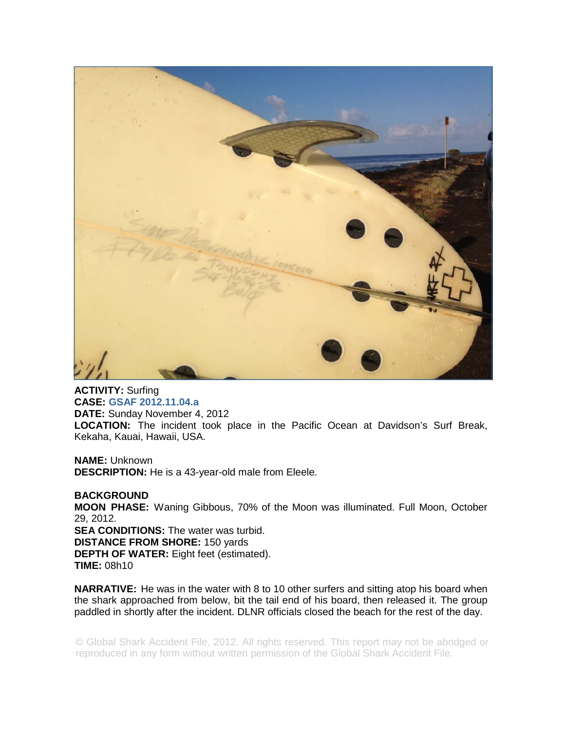

**ACTIVITY:** Surfing **CASE: GSAF 2012.11.04.a DATE:** Sunday November 4, 2012 **LOCATION:** The incident took place in the Pacific Ocean at Davidson's Surf Break, Kekaha, Kauai, Hawaii, USA.

**NAME:** Unknown **DESCRIPTION:** He is a 43-year-old male from Eleele.

**BACKGROUND MOON PHASE:** Waning Gibbous, 70% of the Moon was illuminated. Full Moon, October 29, 2012. **SEA CONDITIONS:** The water was turbid. **DISTANCE FROM SHORE:** 150 yards **DEPTH OF WATER:** Eight feet (estimated). **TIME:** 08h10

**NARRATIVE:** He was in the water with 8 to 10 other surfers and sitting atop his board when the shark approached from below, bit the tail end of his board, then released it. The group paddled in shortly after the incident. DLNR officials closed the beach for the rest of the day.

© Global Shark Accident File, 2012. All rights reserved. This report may not be abridged or reproduced in any form without written permission of the Global Shark Accident File.